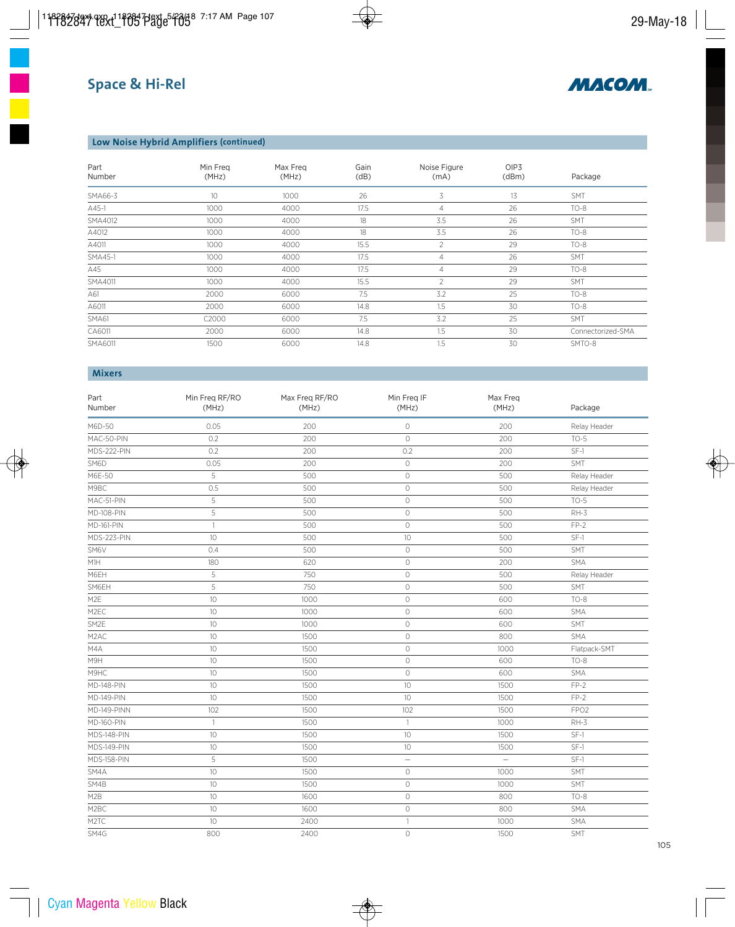

## **Low Noise Hybrid Amplifiers (continued)**

| Part<br>Number | Min Freg<br>(MHz) | Max Freg<br>(MHz) | Gain<br>(dB) | Noise Figure<br>(mA) | OIP <sub>3</sub><br>(dBm) | Package           |
|----------------|-------------------|-------------------|--------------|----------------------|---------------------------|-------------------|
| SMA66-3        | 10                | 1000              | 26           | 3                    | 13                        | <b>SMT</b>        |
| A45-1          | 1000              | 4000              | 17.5         | 4                    | 26                        | $TO-8$            |
| SMA4012        | 1000              | 4000              | 18           | 3.5                  | 26                        | SMT               |
| A4012          | 1000              | 4000              | 18           | 3.5                  | 26                        | $TO-8$            |
| A4011          | 1000              | 4000              | 15.5         | 2                    | 29                        | $TO-8$            |
| SMA45-1        | 1000              | 4000              | 17.5         | 4                    | 26                        | <b>SMT</b>        |
| A45            | 1000              | 4000              | 17.5         | 4                    | 29                        | $TO-8$            |
| SMA4011        | 1000              | 4000              | 15.5         | $\overline{2}$       | 29                        | <b>SMT</b>        |
| A61            | 2000              | 6000              | 7.5          | 3.2                  | 25                        | $TO-8$            |
| A6011          | 2000              | 6000              | 14.8         | 1.5                  | 30                        | $TO-8$            |
| SMA61          | C2000             | 6000              | 7.5          | 3.2                  | 25                        | SMT               |
| CA6011         | 2000              | 6000              | 14.8         | 1.5                  | 30                        | Connectorized-SMA |
| SMA6011        | 1500              | 6000              | 14.8         | 1.5                  | 30                        | SMTO-8            |

### **Mixers**

| Part<br>Number     | Min Freq RF/RO<br>(MHz) | Max Freq RF/RO<br>(MHz) | Min Freq IF<br>(MHz) | Max Freq<br>(MHz) | Package          |  |
|--------------------|-------------------------|-------------------------|----------------------|-------------------|------------------|--|
| M6D-50             | 0.05                    | 200                     | $\circ$              | 200               | Relay Header     |  |
| MAC-50-PIN         | 0.2                     | 200                     | $\circlearrowright$  | 200               | $TO-5$           |  |
| MDS-222-PIN        | 0.2                     | 200                     | 0.2                  | 200               | $SF-1$           |  |
| SM6D               | 0.05                    | 200                     | $\mathbb O$          | 200               | SMT              |  |
| M6E-50             | 5                       | 500                     | $\mathbb O$          | 500               | Relay Header     |  |
| M9BC               | 0.5                     | 500                     | $\mathbb O$          | 500               | Relay Header     |  |
| MAC-51-PIN         | 5                       | 500                     | $\circ$              | 500               | $TO-5$           |  |
| <b>MD-108-PIN</b>  | 5                       | 500                     | $\mathbb O$          | 500               | $RH-3$           |  |
| <b>MD-161-PIN</b>  | $\mathbf{1}$            | 500                     | $\circlearrowright$  | 500               | $FP-2$           |  |
| MDS-223-PIN        | $10$                    | 500                     | 10                   | 500               | $SF-1$           |  |
| SM6V               | 0.4                     | 500                     | $\circlearrowright$  | 500               | SMT              |  |
| M1H                | 180                     | 620                     | $\circlearrowright$  | 200               | SMA              |  |
| M6EH               | 5                       | 750                     | $\circ$              | 500               | Relay Header     |  |
| SM6EH              | 5                       | 750                     | $\circ$              | 500               | <b>SMT</b>       |  |
| M <sub>2</sub> E   | 10                      | 1000                    | $\circ$              | 600               | $TO-8$           |  |
| M2EC               | 10                      | 1000                    | $\circ$              | 600               | SMA              |  |
| SM2E               | 10                      | 1000                    | $\circ$              | 600               | SMT              |  |
| M <sub>2</sub> AC  | 10                      | 1500                    | $\circ$              | 800               | SMA              |  |
| M4A                | 10                      | 1500                    | $\circlearrowright$  | 1000              | Flatpack-SMT     |  |
| M9H                | 10                      | 1500                    | $\circlearrowright$  | 600               | $TO-8$           |  |
| M9HC               | 10                      | 1500                    | $\circlearrowright$  | 600               | SMA              |  |
| <b>MD-148-PIN</b>  | 10                      | 1500                    | 10                   | 1500              | $FP-2$           |  |
| <b>MD-149-PIN</b>  | 10                      | 1500                    | 10                   | 1500              | $FP-2$           |  |
| MD-149-PINN        | 102                     | 1500                    | 102                  | 1500              | FPO <sub>2</sub> |  |
| <b>MD-160-PIN</b>  | $\mathbf{1}$            | 1500                    | $\mathbf{1}$         | 1000              | $RH-3$           |  |
| MDS-148-PIN        | 10                      | 1500                    | 10                   | 1500              | $SF-1$           |  |
| MDS-149-PIN        | $10$                    | 1500                    | 10                   | 1500              | $SF-1$           |  |
| <b>MDS-158-PIN</b> | 5                       | 1500                    | $\equiv$             | $\equiv$          | $SF-1$           |  |
| SM4A               | 10                      | 1500                    | $\circlearrowright$  | 1000              | SMT              |  |
| SM4B               | 10                      | 1500                    | $\circ$              | 1000              | SMT              |  |
| M2B                | 10                      | 1600                    | $\circ$              | 800               | $TO-8$           |  |
| M2BC               | 10                      | 1600                    | $\circlearrowright$  | 800               | SMA              |  |
| M <sub>2</sub> TC  | 10                      | 2400                    | $\mathbf{1}$         | 1000              | <b>SMA</b>       |  |
| SM4G               | 800                     | 2400                    | $\circ$              | 1500              | SMT              |  |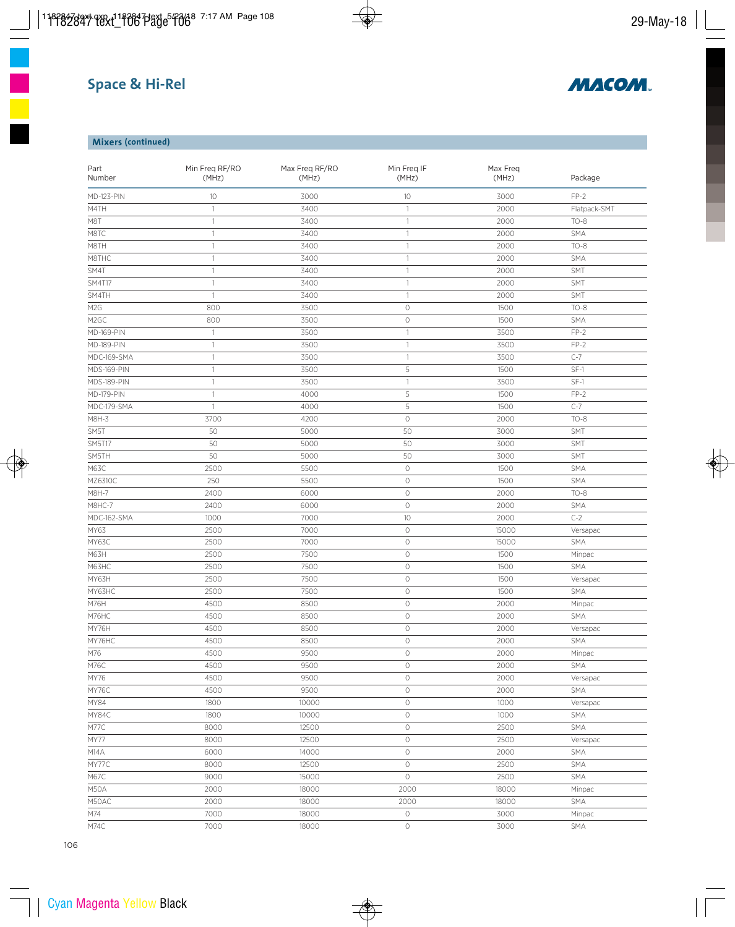# **Space & Hi-Rel**



## **Mixers (continued)**

| <b>MD-123-PIN</b><br>10<br>3000<br>10<br>$FP-2$<br>3000<br>3400<br>$\mathbf{1}$<br>2000<br>Flatpack-SMT<br>$\mathbf{1}$<br>$\mathbf{1}$<br>3400<br>$\mathbf{1}$<br>2000<br>$TO-8$<br>3400<br>M8TC<br>$\mathbf{1}$<br>2000<br>SMA<br>$\mathbf{1}$<br>$TO-8$<br>3400<br>$\mathbf{1}$<br>2000<br>$\mathbf{1}$<br>M8THC<br>3400<br>$\mathbf{1}$<br>2000<br>SMA<br>$\mathbf{1}$<br>SMT<br>SM4T<br>3400<br>2000<br>$\mathbf{1}$<br>1<br>3400<br>2000<br>SMT<br>$\mathbf{1}$<br>$\overline{\phantom{a}}$<br>3400<br>$\mathbf{1}$<br>$\mathbf{1}$<br>2000<br>SMT<br>3500<br>$TO-8$<br>M <sub>2</sub> G<br>800<br>$\circlearrowright$<br>1500<br>3500<br>$\circlearrowright$<br>1500<br>SMA<br>M2GC<br>800<br>3500<br>$FP-2$<br><b>MD-169-PIN</b><br>$\mathbf{1}$<br>3500<br>$\mathbf{1}$<br>3500<br>$FP-2$<br>$\mathbf{1}$<br>3500<br>$\mathbf{1}$<br>$C-7$<br>3500<br>$\mathbf{1}$<br>3500<br>$\mathbf{1}$<br>5<br>$SF-1$<br>$\mathbf{1}$<br>3500<br>1500<br>$SF-1$<br>3500<br>$\mathbf{1}$<br>$\mathbf{1}$<br>3500<br>5<br>$FP-2$<br>4000<br>1500<br>$\mathbf{1}$<br>5<br>$C-7$<br>$\mathbf{1}$<br>4000<br>1500<br>$\circlearrowright$<br>$TO-8$<br>3700<br>4200<br>2000<br>SM5T<br>50<br>5000<br>50<br>3000<br>SMT<br>SMT<br>SM5T17<br>50<br>5000<br>50<br>3000<br>50<br>5000<br>50<br><b>SMT</b><br>3000<br>M63C<br>5500<br>$\circlearrowright$<br>1500<br>2500<br>SMA<br>MZ6310C<br>250<br>5500<br>$\circ$<br>1500<br>SMA<br>$\circlearrowright$<br>$TO-8$<br>M8H-7<br>2400<br>6000<br>2000<br>$\circlearrowright$<br>M8HC-7<br>2400<br>6000<br>2000<br>SMA<br>$C-2$<br>MDC-162-SMA<br>1000<br>7000<br>10<br>2000<br>$\circlearrowright$<br>MY63<br>2500<br>7000<br>15000<br>Versapac<br>2500<br>$\circlearrowright$<br>MY63C<br>7000<br>15000<br>SMA<br>M63H<br>2500<br>7500<br>$\circ$<br>1500<br>Minpac<br>7500<br>M63HC<br>2500<br>$\circ$<br>1500<br>SMA<br>MY63H<br>7500<br>$\circlearrowright$<br>2500<br>1500<br>Versapac<br>MY63HC<br>7500<br>SMA<br>2500<br>$\circlearrowright$<br>1500<br>8500<br>M76H<br>4500<br>$\circ$<br>2000<br>Minpac<br>4500<br>8500<br>2000<br>SMA<br>M76HC<br>$\circlearrowright$<br>MY76H<br>8500<br>4500<br>$\circlearrowright$<br>2000<br>Versapac<br>MY76HC<br>4500<br>8500<br>0<br>2000<br>SMA<br>$\circlearrowright$<br>M76<br>4500<br>9500<br>2000<br>Minpac<br>M76C<br>4500<br>9500<br>$\bigcirc$<br>2000<br>SMA<br>$\bigcirc$<br>MY76<br>4500<br>9500<br>2000<br>Versapac<br>MY76C<br>4500<br>9500<br>$\circlearrowright$<br>2000<br>SMA<br>MY84<br>1800<br>$\circlearrowright$<br>10000<br>1000<br>Versapac<br>MY84C<br>1800<br>10000<br>$\circlearrowright$<br>1000<br>SMA<br>M77C<br>8000<br>$\bigcirc$<br>SMA<br>12500<br>2500<br>MY77<br>8000<br>$\bigcirc$<br>12500<br>2500<br>Versapac<br>M14A<br>6000<br>14000<br>$\bigcirc$<br>2000<br>SMA<br>MY77C<br>8000<br>12500<br>$\bigcirc$<br>2500<br>SMA<br>$\circ$<br>M67C<br>9000<br>15000<br>2500<br>SMA<br>2000<br>M50A<br>2000<br>18000<br>18000<br>Minpac<br>M50AC<br>2000<br>18000<br>2000<br>18000<br>SMA<br>M74<br>7000<br>18000<br>$\circ$<br>3000<br>Minpac<br>$\bigcirc$<br>3000<br>SMA<br>7000<br>18000 | Min Freq RF/RO<br>Part<br>Number<br>(MHz) |  | Max Freq RF/RO<br>(MHz) | Min Freq IF<br>(MHz) |  | Package |
|------------------------------------------------------------------------------------------------------------------------------------------------------------------------------------------------------------------------------------------------------------------------------------------------------------------------------------------------------------------------------------------------------------------------------------------------------------------------------------------------------------------------------------------------------------------------------------------------------------------------------------------------------------------------------------------------------------------------------------------------------------------------------------------------------------------------------------------------------------------------------------------------------------------------------------------------------------------------------------------------------------------------------------------------------------------------------------------------------------------------------------------------------------------------------------------------------------------------------------------------------------------------------------------------------------------------------------------------------------------------------------------------------------------------------------------------------------------------------------------------------------------------------------------------------------------------------------------------------------------------------------------------------------------------------------------------------------------------------------------------------------------------------------------------------------------------------------------------------------------------------------------------------------------------------------------------------------------------------------------------------------------------------------------------------------------------------------------------------------------------------------------------------------------------------------------------------------------------------------------------------------------------------------------------------------------------------------------------------------------------------------------------------------------------------------------------------------------------------------------------------------------------------------------------------------------------------------------------------------------------------------------------------------------------------------------------------------------------------------------------------------------------------------------------------------------------------------------------------------------------------------------------------------------------------------------------------------------------------------------------------------------------------------------------------------------------------------------------------------------|-------------------------------------------|--|-------------------------|----------------------|--|---------|
|                                                                                                                                                                                                                                                                                                                                                                                                                                                                                                                                                                                                                                                                                                                                                                                                                                                                                                                                                                                                                                                                                                                                                                                                                                                                                                                                                                                                                                                                                                                                                                                                                                                                                                                                                                                                                                                                                                                                                                                                                                                                                                                                                                                                                                                                                                                                                                                                                                                                                                                                                                                                                                                                                                                                                                                                                                                                                                                                                                                                                                                                                                                  |                                           |  |                         |                      |  |         |
|                                                                                                                                                                                                                                                                                                                                                                                                                                                                                                                                                                                                                                                                                                                                                                                                                                                                                                                                                                                                                                                                                                                                                                                                                                                                                                                                                                                                                                                                                                                                                                                                                                                                                                                                                                                                                                                                                                                                                                                                                                                                                                                                                                                                                                                                                                                                                                                                                                                                                                                                                                                                                                                                                                                                                                                                                                                                                                                                                                                                                                                                                                                  | M4TH                                      |  |                         |                      |  |         |
|                                                                                                                                                                                                                                                                                                                                                                                                                                                                                                                                                                                                                                                                                                                                                                                                                                                                                                                                                                                                                                                                                                                                                                                                                                                                                                                                                                                                                                                                                                                                                                                                                                                                                                                                                                                                                                                                                                                                                                                                                                                                                                                                                                                                                                                                                                                                                                                                                                                                                                                                                                                                                                                                                                                                                                                                                                                                                                                                                                                                                                                                                                                  | M8T                                       |  |                         |                      |  |         |
|                                                                                                                                                                                                                                                                                                                                                                                                                                                                                                                                                                                                                                                                                                                                                                                                                                                                                                                                                                                                                                                                                                                                                                                                                                                                                                                                                                                                                                                                                                                                                                                                                                                                                                                                                                                                                                                                                                                                                                                                                                                                                                                                                                                                                                                                                                                                                                                                                                                                                                                                                                                                                                                                                                                                                                                                                                                                                                                                                                                                                                                                                                                  |                                           |  |                         |                      |  |         |
|                                                                                                                                                                                                                                                                                                                                                                                                                                                                                                                                                                                                                                                                                                                                                                                                                                                                                                                                                                                                                                                                                                                                                                                                                                                                                                                                                                                                                                                                                                                                                                                                                                                                                                                                                                                                                                                                                                                                                                                                                                                                                                                                                                                                                                                                                                                                                                                                                                                                                                                                                                                                                                                                                                                                                                                                                                                                                                                                                                                                                                                                                                                  | M8TH                                      |  |                         |                      |  |         |
|                                                                                                                                                                                                                                                                                                                                                                                                                                                                                                                                                                                                                                                                                                                                                                                                                                                                                                                                                                                                                                                                                                                                                                                                                                                                                                                                                                                                                                                                                                                                                                                                                                                                                                                                                                                                                                                                                                                                                                                                                                                                                                                                                                                                                                                                                                                                                                                                                                                                                                                                                                                                                                                                                                                                                                                                                                                                                                                                                                                                                                                                                                                  |                                           |  |                         |                      |  |         |
|                                                                                                                                                                                                                                                                                                                                                                                                                                                                                                                                                                                                                                                                                                                                                                                                                                                                                                                                                                                                                                                                                                                                                                                                                                                                                                                                                                                                                                                                                                                                                                                                                                                                                                                                                                                                                                                                                                                                                                                                                                                                                                                                                                                                                                                                                                                                                                                                                                                                                                                                                                                                                                                                                                                                                                                                                                                                                                                                                                                                                                                                                                                  |                                           |  |                         |                      |  |         |
|                                                                                                                                                                                                                                                                                                                                                                                                                                                                                                                                                                                                                                                                                                                                                                                                                                                                                                                                                                                                                                                                                                                                                                                                                                                                                                                                                                                                                                                                                                                                                                                                                                                                                                                                                                                                                                                                                                                                                                                                                                                                                                                                                                                                                                                                                                                                                                                                                                                                                                                                                                                                                                                                                                                                                                                                                                                                                                                                                                                                                                                                                                                  | <b>SM4T17</b>                             |  |                         |                      |  |         |
|                                                                                                                                                                                                                                                                                                                                                                                                                                                                                                                                                                                                                                                                                                                                                                                                                                                                                                                                                                                                                                                                                                                                                                                                                                                                                                                                                                                                                                                                                                                                                                                                                                                                                                                                                                                                                                                                                                                                                                                                                                                                                                                                                                                                                                                                                                                                                                                                                                                                                                                                                                                                                                                                                                                                                                                                                                                                                                                                                                                                                                                                                                                  | SM4TH                                     |  |                         |                      |  |         |
|                                                                                                                                                                                                                                                                                                                                                                                                                                                                                                                                                                                                                                                                                                                                                                                                                                                                                                                                                                                                                                                                                                                                                                                                                                                                                                                                                                                                                                                                                                                                                                                                                                                                                                                                                                                                                                                                                                                                                                                                                                                                                                                                                                                                                                                                                                                                                                                                                                                                                                                                                                                                                                                                                                                                                                                                                                                                                                                                                                                                                                                                                                                  |                                           |  |                         |                      |  |         |
|                                                                                                                                                                                                                                                                                                                                                                                                                                                                                                                                                                                                                                                                                                                                                                                                                                                                                                                                                                                                                                                                                                                                                                                                                                                                                                                                                                                                                                                                                                                                                                                                                                                                                                                                                                                                                                                                                                                                                                                                                                                                                                                                                                                                                                                                                                                                                                                                                                                                                                                                                                                                                                                                                                                                                                                                                                                                                                                                                                                                                                                                                                                  |                                           |  |                         |                      |  |         |
|                                                                                                                                                                                                                                                                                                                                                                                                                                                                                                                                                                                                                                                                                                                                                                                                                                                                                                                                                                                                                                                                                                                                                                                                                                                                                                                                                                                                                                                                                                                                                                                                                                                                                                                                                                                                                                                                                                                                                                                                                                                                                                                                                                                                                                                                                                                                                                                                                                                                                                                                                                                                                                                                                                                                                                                                                                                                                                                                                                                                                                                                                                                  |                                           |  |                         |                      |  |         |
|                                                                                                                                                                                                                                                                                                                                                                                                                                                                                                                                                                                                                                                                                                                                                                                                                                                                                                                                                                                                                                                                                                                                                                                                                                                                                                                                                                                                                                                                                                                                                                                                                                                                                                                                                                                                                                                                                                                                                                                                                                                                                                                                                                                                                                                                                                                                                                                                                                                                                                                                                                                                                                                                                                                                                                                                                                                                                                                                                                                                                                                                                                                  | <b>MD-189-PIN</b>                         |  |                         |                      |  |         |
|                                                                                                                                                                                                                                                                                                                                                                                                                                                                                                                                                                                                                                                                                                                                                                                                                                                                                                                                                                                                                                                                                                                                                                                                                                                                                                                                                                                                                                                                                                                                                                                                                                                                                                                                                                                                                                                                                                                                                                                                                                                                                                                                                                                                                                                                                                                                                                                                                                                                                                                                                                                                                                                                                                                                                                                                                                                                                                                                                                                                                                                                                                                  | MDC-169-SMA                               |  |                         |                      |  |         |
|                                                                                                                                                                                                                                                                                                                                                                                                                                                                                                                                                                                                                                                                                                                                                                                                                                                                                                                                                                                                                                                                                                                                                                                                                                                                                                                                                                                                                                                                                                                                                                                                                                                                                                                                                                                                                                                                                                                                                                                                                                                                                                                                                                                                                                                                                                                                                                                                                                                                                                                                                                                                                                                                                                                                                                                                                                                                                                                                                                                                                                                                                                                  | MDS-169-PIN                               |  |                         |                      |  |         |
|                                                                                                                                                                                                                                                                                                                                                                                                                                                                                                                                                                                                                                                                                                                                                                                                                                                                                                                                                                                                                                                                                                                                                                                                                                                                                                                                                                                                                                                                                                                                                                                                                                                                                                                                                                                                                                                                                                                                                                                                                                                                                                                                                                                                                                                                                                                                                                                                                                                                                                                                                                                                                                                                                                                                                                                                                                                                                                                                                                                                                                                                                                                  | MDS-189-PIN                               |  |                         |                      |  |         |
|                                                                                                                                                                                                                                                                                                                                                                                                                                                                                                                                                                                                                                                                                                                                                                                                                                                                                                                                                                                                                                                                                                                                                                                                                                                                                                                                                                                                                                                                                                                                                                                                                                                                                                                                                                                                                                                                                                                                                                                                                                                                                                                                                                                                                                                                                                                                                                                                                                                                                                                                                                                                                                                                                                                                                                                                                                                                                                                                                                                                                                                                                                                  | <b>MD-179-PIN</b>                         |  |                         |                      |  |         |
|                                                                                                                                                                                                                                                                                                                                                                                                                                                                                                                                                                                                                                                                                                                                                                                                                                                                                                                                                                                                                                                                                                                                                                                                                                                                                                                                                                                                                                                                                                                                                                                                                                                                                                                                                                                                                                                                                                                                                                                                                                                                                                                                                                                                                                                                                                                                                                                                                                                                                                                                                                                                                                                                                                                                                                                                                                                                                                                                                                                                                                                                                                                  | MDC-179-SMA                               |  |                         |                      |  |         |
|                                                                                                                                                                                                                                                                                                                                                                                                                                                                                                                                                                                                                                                                                                                                                                                                                                                                                                                                                                                                                                                                                                                                                                                                                                                                                                                                                                                                                                                                                                                                                                                                                                                                                                                                                                                                                                                                                                                                                                                                                                                                                                                                                                                                                                                                                                                                                                                                                                                                                                                                                                                                                                                                                                                                                                                                                                                                                                                                                                                                                                                                                                                  | M8H-3                                     |  |                         |                      |  |         |
|                                                                                                                                                                                                                                                                                                                                                                                                                                                                                                                                                                                                                                                                                                                                                                                                                                                                                                                                                                                                                                                                                                                                                                                                                                                                                                                                                                                                                                                                                                                                                                                                                                                                                                                                                                                                                                                                                                                                                                                                                                                                                                                                                                                                                                                                                                                                                                                                                                                                                                                                                                                                                                                                                                                                                                                                                                                                                                                                                                                                                                                                                                                  |                                           |  |                         |                      |  |         |
|                                                                                                                                                                                                                                                                                                                                                                                                                                                                                                                                                                                                                                                                                                                                                                                                                                                                                                                                                                                                                                                                                                                                                                                                                                                                                                                                                                                                                                                                                                                                                                                                                                                                                                                                                                                                                                                                                                                                                                                                                                                                                                                                                                                                                                                                                                                                                                                                                                                                                                                                                                                                                                                                                                                                                                                                                                                                                                                                                                                                                                                                                                                  |                                           |  |                         |                      |  |         |
|                                                                                                                                                                                                                                                                                                                                                                                                                                                                                                                                                                                                                                                                                                                                                                                                                                                                                                                                                                                                                                                                                                                                                                                                                                                                                                                                                                                                                                                                                                                                                                                                                                                                                                                                                                                                                                                                                                                                                                                                                                                                                                                                                                                                                                                                                                                                                                                                                                                                                                                                                                                                                                                                                                                                                                                                                                                                                                                                                                                                                                                                                                                  | SM5TH                                     |  |                         |                      |  |         |
|                                                                                                                                                                                                                                                                                                                                                                                                                                                                                                                                                                                                                                                                                                                                                                                                                                                                                                                                                                                                                                                                                                                                                                                                                                                                                                                                                                                                                                                                                                                                                                                                                                                                                                                                                                                                                                                                                                                                                                                                                                                                                                                                                                                                                                                                                                                                                                                                                                                                                                                                                                                                                                                                                                                                                                                                                                                                                                                                                                                                                                                                                                                  |                                           |  |                         |                      |  |         |
|                                                                                                                                                                                                                                                                                                                                                                                                                                                                                                                                                                                                                                                                                                                                                                                                                                                                                                                                                                                                                                                                                                                                                                                                                                                                                                                                                                                                                                                                                                                                                                                                                                                                                                                                                                                                                                                                                                                                                                                                                                                                                                                                                                                                                                                                                                                                                                                                                                                                                                                                                                                                                                                                                                                                                                                                                                                                                                                                                                                                                                                                                                                  |                                           |  |                         |                      |  |         |
|                                                                                                                                                                                                                                                                                                                                                                                                                                                                                                                                                                                                                                                                                                                                                                                                                                                                                                                                                                                                                                                                                                                                                                                                                                                                                                                                                                                                                                                                                                                                                                                                                                                                                                                                                                                                                                                                                                                                                                                                                                                                                                                                                                                                                                                                                                                                                                                                                                                                                                                                                                                                                                                                                                                                                                                                                                                                                                                                                                                                                                                                                                                  |                                           |  |                         |                      |  |         |
|                                                                                                                                                                                                                                                                                                                                                                                                                                                                                                                                                                                                                                                                                                                                                                                                                                                                                                                                                                                                                                                                                                                                                                                                                                                                                                                                                                                                                                                                                                                                                                                                                                                                                                                                                                                                                                                                                                                                                                                                                                                                                                                                                                                                                                                                                                                                                                                                                                                                                                                                                                                                                                                                                                                                                                                                                                                                                                                                                                                                                                                                                                                  |                                           |  |                         |                      |  |         |
|                                                                                                                                                                                                                                                                                                                                                                                                                                                                                                                                                                                                                                                                                                                                                                                                                                                                                                                                                                                                                                                                                                                                                                                                                                                                                                                                                                                                                                                                                                                                                                                                                                                                                                                                                                                                                                                                                                                                                                                                                                                                                                                                                                                                                                                                                                                                                                                                                                                                                                                                                                                                                                                                                                                                                                                                                                                                                                                                                                                                                                                                                                                  |                                           |  |                         |                      |  |         |
|                                                                                                                                                                                                                                                                                                                                                                                                                                                                                                                                                                                                                                                                                                                                                                                                                                                                                                                                                                                                                                                                                                                                                                                                                                                                                                                                                                                                                                                                                                                                                                                                                                                                                                                                                                                                                                                                                                                                                                                                                                                                                                                                                                                                                                                                                                                                                                                                                                                                                                                                                                                                                                                                                                                                                                                                                                                                                                                                                                                                                                                                                                                  |                                           |  |                         |                      |  |         |
|                                                                                                                                                                                                                                                                                                                                                                                                                                                                                                                                                                                                                                                                                                                                                                                                                                                                                                                                                                                                                                                                                                                                                                                                                                                                                                                                                                                                                                                                                                                                                                                                                                                                                                                                                                                                                                                                                                                                                                                                                                                                                                                                                                                                                                                                                                                                                                                                                                                                                                                                                                                                                                                                                                                                                                                                                                                                                                                                                                                                                                                                                                                  |                                           |  |                         |                      |  |         |
|                                                                                                                                                                                                                                                                                                                                                                                                                                                                                                                                                                                                                                                                                                                                                                                                                                                                                                                                                                                                                                                                                                                                                                                                                                                                                                                                                                                                                                                                                                                                                                                                                                                                                                                                                                                                                                                                                                                                                                                                                                                                                                                                                                                                                                                                                                                                                                                                                                                                                                                                                                                                                                                                                                                                                                                                                                                                                                                                                                                                                                                                                                                  |                                           |  |                         |                      |  |         |
|                                                                                                                                                                                                                                                                                                                                                                                                                                                                                                                                                                                                                                                                                                                                                                                                                                                                                                                                                                                                                                                                                                                                                                                                                                                                                                                                                                                                                                                                                                                                                                                                                                                                                                                                                                                                                                                                                                                                                                                                                                                                                                                                                                                                                                                                                                                                                                                                                                                                                                                                                                                                                                                                                                                                                                                                                                                                                                                                                                                                                                                                                                                  |                                           |  |                         |                      |  |         |
|                                                                                                                                                                                                                                                                                                                                                                                                                                                                                                                                                                                                                                                                                                                                                                                                                                                                                                                                                                                                                                                                                                                                                                                                                                                                                                                                                                                                                                                                                                                                                                                                                                                                                                                                                                                                                                                                                                                                                                                                                                                                                                                                                                                                                                                                                                                                                                                                                                                                                                                                                                                                                                                                                                                                                                                                                                                                                                                                                                                                                                                                                                                  |                                           |  |                         |                      |  |         |
|                                                                                                                                                                                                                                                                                                                                                                                                                                                                                                                                                                                                                                                                                                                                                                                                                                                                                                                                                                                                                                                                                                                                                                                                                                                                                                                                                                                                                                                                                                                                                                                                                                                                                                                                                                                                                                                                                                                                                                                                                                                                                                                                                                                                                                                                                                                                                                                                                                                                                                                                                                                                                                                                                                                                                                                                                                                                                                                                                                                                                                                                                                                  |                                           |  |                         |                      |  |         |
|                                                                                                                                                                                                                                                                                                                                                                                                                                                                                                                                                                                                                                                                                                                                                                                                                                                                                                                                                                                                                                                                                                                                                                                                                                                                                                                                                                                                                                                                                                                                                                                                                                                                                                                                                                                                                                                                                                                                                                                                                                                                                                                                                                                                                                                                                                                                                                                                                                                                                                                                                                                                                                                                                                                                                                                                                                                                                                                                                                                                                                                                                                                  |                                           |  |                         |                      |  |         |
|                                                                                                                                                                                                                                                                                                                                                                                                                                                                                                                                                                                                                                                                                                                                                                                                                                                                                                                                                                                                                                                                                                                                                                                                                                                                                                                                                                                                                                                                                                                                                                                                                                                                                                                                                                                                                                                                                                                                                                                                                                                                                                                                                                                                                                                                                                                                                                                                                                                                                                                                                                                                                                                                                                                                                                                                                                                                                                                                                                                                                                                                                                                  |                                           |  |                         |                      |  |         |
|                                                                                                                                                                                                                                                                                                                                                                                                                                                                                                                                                                                                                                                                                                                                                                                                                                                                                                                                                                                                                                                                                                                                                                                                                                                                                                                                                                                                                                                                                                                                                                                                                                                                                                                                                                                                                                                                                                                                                                                                                                                                                                                                                                                                                                                                                                                                                                                                                                                                                                                                                                                                                                                                                                                                                                                                                                                                                                                                                                                                                                                                                                                  |                                           |  |                         |                      |  |         |
|                                                                                                                                                                                                                                                                                                                                                                                                                                                                                                                                                                                                                                                                                                                                                                                                                                                                                                                                                                                                                                                                                                                                                                                                                                                                                                                                                                                                                                                                                                                                                                                                                                                                                                                                                                                                                                                                                                                                                                                                                                                                                                                                                                                                                                                                                                                                                                                                                                                                                                                                                                                                                                                                                                                                                                                                                                                                                                                                                                                                                                                                                                                  |                                           |  |                         |                      |  |         |
|                                                                                                                                                                                                                                                                                                                                                                                                                                                                                                                                                                                                                                                                                                                                                                                                                                                                                                                                                                                                                                                                                                                                                                                                                                                                                                                                                                                                                                                                                                                                                                                                                                                                                                                                                                                                                                                                                                                                                                                                                                                                                                                                                                                                                                                                                                                                                                                                                                                                                                                                                                                                                                                                                                                                                                                                                                                                                                                                                                                                                                                                                                                  |                                           |  |                         |                      |  |         |
|                                                                                                                                                                                                                                                                                                                                                                                                                                                                                                                                                                                                                                                                                                                                                                                                                                                                                                                                                                                                                                                                                                                                                                                                                                                                                                                                                                                                                                                                                                                                                                                                                                                                                                                                                                                                                                                                                                                                                                                                                                                                                                                                                                                                                                                                                                                                                                                                                                                                                                                                                                                                                                                                                                                                                                                                                                                                                                                                                                                                                                                                                                                  |                                           |  |                         |                      |  |         |
|                                                                                                                                                                                                                                                                                                                                                                                                                                                                                                                                                                                                                                                                                                                                                                                                                                                                                                                                                                                                                                                                                                                                                                                                                                                                                                                                                                                                                                                                                                                                                                                                                                                                                                                                                                                                                                                                                                                                                                                                                                                                                                                                                                                                                                                                                                                                                                                                                                                                                                                                                                                                                                                                                                                                                                                                                                                                                                                                                                                                                                                                                                                  |                                           |  |                         |                      |  |         |
|                                                                                                                                                                                                                                                                                                                                                                                                                                                                                                                                                                                                                                                                                                                                                                                                                                                                                                                                                                                                                                                                                                                                                                                                                                                                                                                                                                                                                                                                                                                                                                                                                                                                                                                                                                                                                                                                                                                                                                                                                                                                                                                                                                                                                                                                                                                                                                                                                                                                                                                                                                                                                                                                                                                                                                                                                                                                                                                                                                                                                                                                                                                  |                                           |  |                         |                      |  |         |
|                                                                                                                                                                                                                                                                                                                                                                                                                                                                                                                                                                                                                                                                                                                                                                                                                                                                                                                                                                                                                                                                                                                                                                                                                                                                                                                                                                                                                                                                                                                                                                                                                                                                                                                                                                                                                                                                                                                                                                                                                                                                                                                                                                                                                                                                                                                                                                                                                                                                                                                                                                                                                                                                                                                                                                                                                                                                                                                                                                                                                                                                                                                  |                                           |  |                         |                      |  |         |
|                                                                                                                                                                                                                                                                                                                                                                                                                                                                                                                                                                                                                                                                                                                                                                                                                                                                                                                                                                                                                                                                                                                                                                                                                                                                                                                                                                                                                                                                                                                                                                                                                                                                                                                                                                                                                                                                                                                                                                                                                                                                                                                                                                                                                                                                                                                                                                                                                                                                                                                                                                                                                                                                                                                                                                                                                                                                                                                                                                                                                                                                                                                  |                                           |  |                         |                      |  |         |
|                                                                                                                                                                                                                                                                                                                                                                                                                                                                                                                                                                                                                                                                                                                                                                                                                                                                                                                                                                                                                                                                                                                                                                                                                                                                                                                                                                                                                                                                                                                                                                                                                                                                                                                                                                                                                                                                                                                                                                                                                                                                                                                                                                                                                                                                                                                                                                                                                                                                                                                                                                                                                                                                                                                                                                                                                                                                                                                                                                                                                                                                                                                  |                                           |  |                         |                      |  |         |
|                                                                                                                                                                                                                                                                                                                                                                                                                                                                                                                                                                                                                                                                                                                                                                                                                                                                                                                                                                                                                                                                                                                                                                                                                                                                                                                                                                                                                                                                                                                                                                                                                                                                                                                                                                                                                                                                                                                                                                                                                                                                                                                                                                                                                                                                                                                                                                                                                                                                                                                                                                                                                                                                                                                                                                                                                                                                                                                                                                                                                                                                                                                  |                                           |  |                         |                      |  |         |
|                                                                                                                                                                                                                                                                                                                                                                                                                                                                                                                                                                                                                                                                                                                                                                                                                                                                                                                                                                                                                                                                                                                                                                                                                                                                                                                                                                                                                                                                                                                                                                                                                                                                                                                                                                                                                                                                                                                                                                                                                                                                                                                                                                                                                                                                                                                                                                                                                                                                                                                                                                                                                                                                                                                                                                                                                                                                                                                                                                                                                                                                                                                  |                                           |  |                         |                      |  |         |
|                                                                                                                                                                                                                                                                                                                                                                                                                                                                                                                                                                                                                                                                                                                                                                                                                                                                                                                                                                                                                                                                                                                                                                                                                                                                                                                                                                                                                                                                                                                                                                                                                                                                                                                                                                                                                                                                                                                                                                                                                                                                                                                                                                                                                                                                                                                                                                                                                                                                                                                                                                                                                                                                                                                                                                                                                                                                                                                                                                                                                                                                                                                  |                                           |  |                         |                      |  |         |
|                                                                                                                                                                                                                                                                                                                                                                                                                                                                                                                                                                                                                                                                                                                                                                                                                                                                                                                                                                                                                                                                                                                                                                                                                                                                                                                                                                                                                                                                                                                                                                                                                                                                                                                                                                                                                                                                                                                                                                                                                                                                                                                                                                                                                                                                                                                                                                                                                                                                                                                                                                                                                                                                                                                                                                                                                                                                                                                                                                                                                                                                                                                  |                                           |  |                         |                      |  |         |
|                                                                                                                                                                                                                                                                                                                                                                                                                                                                                                                                                                                                                                                                                                                                                                                                                                                                                                                                                                                                                                                                                                                                                                                                                                                                                                                                                                                                                                                                                                                                                                                                                                                                                                                                                                                                                                                                                                                                                                                                                                                                                                                                                                                                                                                                                                                                                                                                                                                                                                                                                                                                                                                                                                                                                                                                                                                                                                                                                                                                                                                                                                                  |                                           |  |                         |                      |  |         |
|                                                                                                                                                                                                                                                                                                                                                                                                                                                                                                                                                                                                                                                                                                                                                                                                                                                                                                                                                                                                                                                                                                                                                                                                                                                                                                                                                                                                                                                                                                                                                                                                                                                                                                                                                                                                                                                                                                                                                                                                                                                                                                                                                                                                                                                                                                                                                                                                                                                                                                                                                                                                                                                                                                                                                                                                                                                                                                                                                                                                                                                                                                                  |                                           |  |                         |                      |  |         |
|                                                                                                                                                                                                                                                                                                                                                                                                                                                                                                                                                                                                                                                                                                                                                                                                                                                                                                                                                                                                                                                                                                                                                                                                                                                                                                                                                                                                                                                                                                                                                                                                                                                                                                                                                                                                                                                                                                                                                                                                                                                                                                                                                                                                                                                                                                                                                                                                                                                                                                                                                                                                                                                                                                                                                                                                                                                                                                                                                                                                                                                                                                                  |                                           |  |                         |                      |  |         |
|                                                                                                                                                                                                                                                                                                                                                                                                                                                                                                                                                                                                                                                                                                                                                                                                                                                                                                                                                                                                                                                                                                                                                                                                                                                                                                                                                                                                                                                                                                                                                                                                                                                                                                                                                                                                                                                                                                                                                                                                                                                                                                                                                                                                                                                                                                                                                                                                                                                                                                                                                                                                                                                                                                                                                                                                                                                                                                                                                                                                                                                                                                                  | M74C                                      |  |                         |                      |  |         |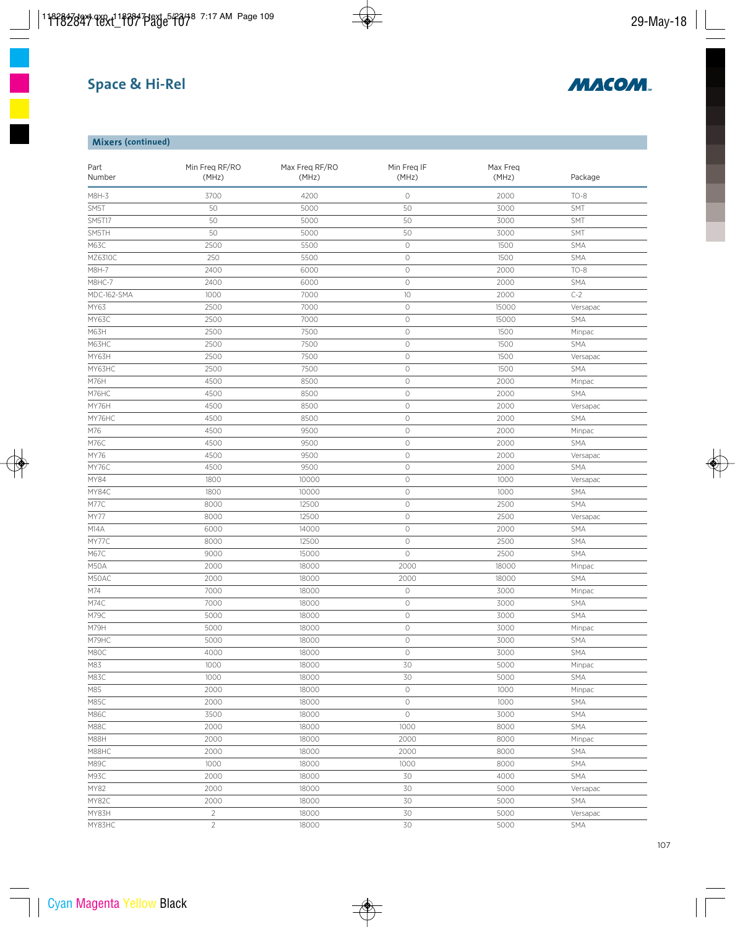# **Space & Hi-Rel**



## **Mixers (continued)**

| Part<br>Number | Min Freq RF/RO<br>Max Freq RF/RO<br>(MHz)<br>(MHz) |       | Min Freq IF<br>(MHz) | Max Freq<br>(MHz) | Package    |
|----------------|----------------------------------------------------|-------|----------------------|-------------------|------------|
| M8H-3          | 3700                                               | 4200  | $\circlearrowright$  | 2000              | $TO-8$     |
| SM5T           | 50                                                 | 5000  | 50                   | 3000              | SMT        |
| <b>SM5T17</b>  | 50                                                 | 5000  | 50                   | 3000              | SMT        |
| SM5TH          | 50                                                 | 5000  | 50                   | 3000              | SMT        |
| M63C           | 2500                                               | 5500  | $\circlearrowright$  | 1500              | SMA        |
| MZ6310C        | 250                                                | 5500  | $\circ$              | 1500              | SMA        |
| M8H-7          | 2400                                               | 6000  | $\circ$              | 2000              | $TO-8$     |
| M8HC-7         | 2400                                               | 6000  | $\circlearrowright$  | 2000              | SMA        |
| MDC-162-SMA    | 1000                                               | 7000  | 10                   | 2000              | $C-2$      |
| MY63           | 2500                                               | 7000  | $\circlearrowright$  | 15000             | Versapac   |
| MY63C          | 2500                                               | 7000  | $\circlearrowright$  | 15000             | <b>SMA</b> |
| M63H           | 2500                                               | 7500  | $\circ$              | 1500              | Minpac     |
| M63HC          | 2500                                               | 7500  | $\circlearrowright$  | 1500              | SMA        |
| MY63H          | 2500                                               | 7500  | $\circlearrowright$  | 1500              | Versapac   |
| MY63HC         | 2500                                               | 7500  | $\circlearrowright$  | 1500              | SMA        |
| M76H           | 4500                                               | 8500  | $\circlearrowright$  | 2000              | Minpac     |
| M76HC          | 4500                                               | 8500  | $\circ$              | 2000              | SMA        |
| MY76H          | 4500                                               | 8500  | $\circ$              | 2000              | Versapac   |
| MY76HC         | 4500                                               | 8500  | $\circ$              | 2000              | SMA        |
| M76            | 4500                                               | 9500  | $\circlearrowright$  | 2000              | Minpac     |
| M76C           | 4500                                               | 9500  | $\circlearrowright$  | 2000              | SMA        |
| MY76           | 4500                                               | 9500  | $\circlearrowright$  | 2000              | Versapac   |
| MY76C          | 4500                                               | 9500  | $\circlearrowright$  | 2000              | <b>SMA</b> |
| MY84           | 1800                                               | 10000 | $\circ$              | 1000              | Versapac   |
| MY84C          | 1800                                               | 10000 | $\circ$              | 1000              | SMA        |
| M77C           | 8000                                               | 12500 | $\circlearrowright$  | 2500              | SMA        |
|                |                                                    |       | $\circlearrowright$  |                   |            |
| MY77           | 8000                                               | 12500 | $\circlearrowright$  | 2500              | Versapac   |
| M14A           | 6000                                               | 14000 |                      | 2000              | SMA        |
| MY77C          | 8000                                               | 12500 | $\circ$              | 2500              | SMA        |
| M67C           | 9000                                               | 15000 | $\circlearrowright$  | 2500              | SMA        |
| M50A           | 2000                                               | 18000 | 2000                 | 18000             | Minpac     |
| M50AC          | 2000                                               | 18000 | 2000                 | 18000             | SMA        |
| M74            | 7000                                               | 18000 | $\circlearrowright$  | 3000              | Minpac     |
| M74C           | 7000                                               | 18000 | $\circlearrowright$  | 3000              | SMA        |
| M79C           | 5000                                               | 18000 | $\circlearrowright$  | 3000              | SMA        |
| M79H           | 5000                                               | 18000 | $\circ$              | 3000              | Minpac     |
| M79HC          | 5000                                               | 18000 | 0                    | 3000              | SMA        |
| M80C           | 4000                                               | 18000 | $\circlearrowright$  | 3000              | SMA        |
| M83            | 1000                                               | 18000 | 30                   | 5000              | Minpac     |
| M83C           | 1000                                               | 18000 | 30                   | 5000              | SMA        |
| M85            | 2000                                               | 18000 | $\circlearrowright$  | 1000              | Minpac     |
| M85C           | 2000                                               | 18000 | $\circlearrowright$  | 1000              | SMA        |
| M86C           | 3500                                               | 18000 | $\circlearrowright$  | 3000              | SMA        |
| M88C           | 2000                                               | 18000 | 1000                 | 8000              | SMA        |
| M88H           | 2000                                               | 18000 | 2000                 | 8000              | Minpac     |
| M88HC          | 2000                                               | 18000 | 2000                 | 8000              | SMA        |
| M89C           | 1000                                               | 18000 | 1000                 | 8000              | SMA        |
| M93C           | 2000                                               | 18000 | 30                   | 4000              | <b>SMA</b> |
| MY82           | 2000                                               | 18000 | 30                   | 5000              | Versapac   |
| MY82C          | 2000                                               | 18000 | 30                   | 5000              | SMA        |
| MY83H          | $\overline{2}$                                     | 18000 | 30                   | 5000              | Versapac   |
| MY83HC         | $\overline{2}$                                     | 18000 | 30                   | 5000              | SMA        |